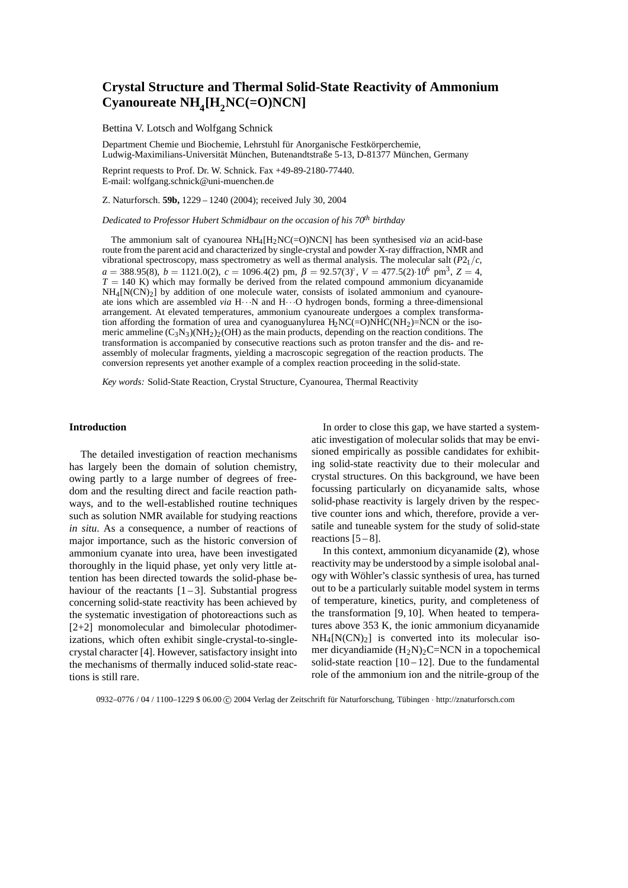# **Crystal Structure and Thermal Solid-State Reactivity of Ammonium**  $CyanourceNH<sub>4</sub>[H<sub>2</sub>NC(=O)NCN]$

Bettina V. Lotsch and Wolfgang Schnick

Department Chemie und Biochemie, Lehrstuhl für Anorganische Festkörperchemie, Ludwig-Maximilians-Universität München, Butenandtstraße 5-13, D-81377 München, Germany

Reprint requests to Prof. Dr. W. Schnick. Fax +49-89-2180-77440. E-mail: wolfgang.schnick@uni-muenchen.de

Z. Naturforsch. **59b,** 1229 – 1240 (2004); received July 30, 2004

*Dedicated to Professor Hubert Schmidbaur on the occasion of his 70th birthday*

The ammonium salt of cyanourea NH4[H2NC(=O)NCN] has been synthesised *via* an acid-base route from the parent acid and characterized by single-crystal and powder X-ray diffraction, NMR and vibrational spectroscopy, mass spectrometry as well as thermal analysis. The molecular salt (*P*21*/c*,  $a = 388.95(8)$ ,  $b = 1121.0(2)$ ,  $c = 1096.4(2)$  pm,  $\beta = 92.57(3)$ °,  $V = 477.5(2) \cdot 10^6$  pm<sup>3</sup>,  $Z = 4$ ,  $T = 140$  K) which may formally be derived from the related compound ammonium dicyanamide  $NH<sub>4</sub>[N(CN)<sub>2</sub>]$  by addition of one molecule water, consists of isolated ammonium and cyanoureate ions which are assembled *via* H···N and H···O hydrogen bonds, forming a three-dimensional arrangement. At elevated temperatures, ammonium cyanoureate undergoes a complex transformation affording the formation of urea and cyanoguanylurea  $H_2NC(=O)NHC(NH_2)=NCN$  or the isomeric ammeline  $(C_3N_3)(NH_2)_2(OH)$  as the main products, depending on the reaction conditions. The transformation is accompanied by consecutive reactions such as proton transfer and the dis- and reassembly of molecular fragments, yielding a macroscopic segregation of the reaction products. The conversion represents yet another example of a complex reaction proceeding in the solid-state.

*Key words:* Solid-State Reaction, Crystal Structure, Cyanourea, Thermal Reactivity

## **Introduction**

The detailed investigation of reaction mechanisms has largely been the domain of solution chemistry, owing partly to a large number of degrees of freedom and the resulting direct and facile reaction pathways, and to the well-established routine techniques such as solution NMR available for studying reactions *in situ*. As a consequence, a number of reactions of major importance, such as the historic conversion of ammonium cyanate into urea, have been investigated thoroughly in the liquid phase, yet only very little attention has been directed towards the solid-phase behaviour of the reactants  $[1-3]$ . Substantial progress concerning solid-state reactivity has been achieved by the systematic investigation of photoreactions such as [2+2] monomolecular and bimolecular photodimerizations, which often exhibit single-crystal-to-singlecrystal character [4]. However, satisfactory insight into the mechanisms of thermally induced solid-state reactions is still rare.

In order to close this gap, we have started a systematic investigation of molecular solids that may be envisioned empirically as possible candidates for exhibiting solid-state reactivity due to their molecular and crystal structures. On this background, we have been focussing particularly on dicyanamide salts, whose solid-phase reactivity is largely driven by the respective counter ions and which, therefore, provide a versatile and tuneable system for the study of solid-state reactions  $[5-8]$ .

In this context, ammonium dicyanamide (**2**), whose reactivity may be understood by a simple isolobal analogy with Wöhler's classic synthesis of urea, has turned out to be a particularly suitable model system in terms of temperature, kinetics, purity, and completeness of the transformation [9, 10]. When heated to temperatures above 353 K, the ionic ammonium dicyanamide  $NH_4[N(CN)_2]$  is converted into its molecular isomer dicyandiamide  $(H_2N)_2C=NCN$  in a topochemical solid-state reaction  $[10 - 12]$ . Due to the fundamental role of the ammonium ion and the nitrile-group of the

0932–0776 / 04 / 1100–1229 \$ 06.00  $\copyright$  2004 Verlag der Zeitschrift für Naturforschung, Tübingen · http://znaturforsch.com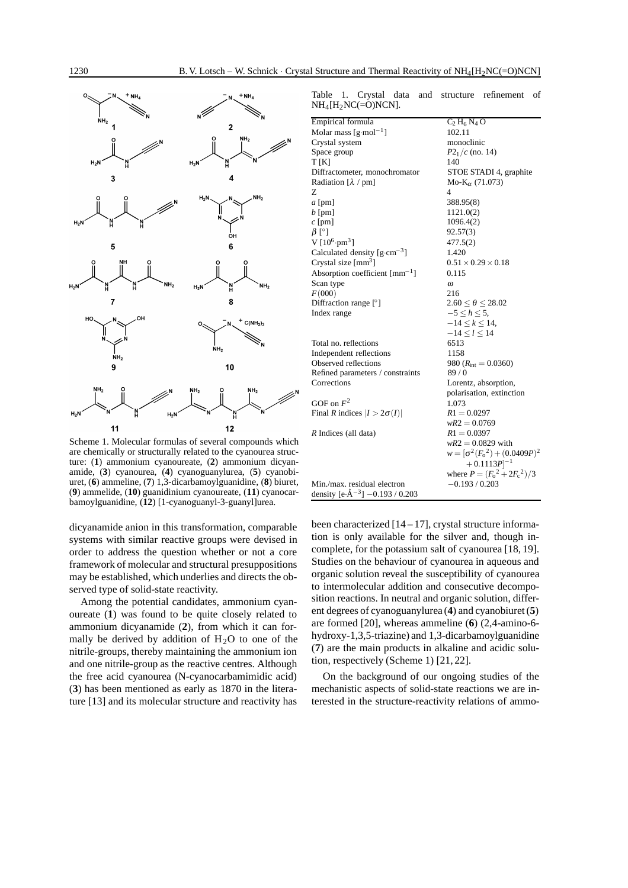

Table 1. Crystal data and structure refinement of  $NH_4[H_2NC(=O)NCN]$ .

| Empirical formula                                     | $C_2 H_6 N_4 O$                        |  |
|-------------------------------------------------------|----------------------------------------|--|
| Molar mass $\lceil \text{g-mol}^{-1} \rceil$          | 102.11                                 |  |
| Crystal system                                        | monoclinic                             |  |
| Space group                                           | $P2_1/c$ (no. 14)                      |  |
| T[K]                                                  | 140                                    |  |
| Diffractometer, monochromator                         | STOE STADI 4, graphite                 |  |
| Radiation $[\lambda / pm]$                            | Mo- $K_{\alpha}$ (71.073)              |  |
| Z                                                     | $\overline{4}$                         |  |
| $a$ [pm]                                              | 388.95(8)                              |  |
| $b$ [pm]                                              | 1121.0(2)                              |  |
| $c$ [pm]                                              | 1096.4(2)                              |  |
| $\beta$ [°]                                           | 92.57(3)                               |  |
| V $[10^6 \cdot pm^3]$                                 | 477.5(2)                               |  |
| Calculated density $[g\text{-cm}^{-3}]$               | 1.420                                  |  |
| Crystal size $[mm3]$                                  | $0.51 \times 0.29 \times 0.18$         |  |
| Absorption coefficient $\lceil \text{mm}^{-1} \rceil$ | 0.115                                  |  |
| Scan type                                             | $\omega$                               |  |
| F(000)                                                | 216                                    |  |
| Diffraction range [°]                                 | $2.60 < \theta < 28.02$                |  |
| Index range                                           | $-5 < h < 5$ ,                         |  |
|                                                       | $-14 \leq k \leq 14$ ,                 |  |
|                                                       | $-14 < l < 14$                         |  |
| Total no. reflections                                 | 6513                                   |  |
| Independent reflections                               | 1158                                   |  |
| Observed reflections                                  | 980 $(R_{\text{int}} = 0.0360)$        |  |
| Refined parameters / constraints                      | 89/0                                   |  |
| Corrections                                           | Lorentz, absorption,                   |  |
|                                                       | polarisation, extinction               |  |
| GOF on $F^2$                                          | 1.073                                  |  |
| Final R indices $ I  > 2\sigma(I) $                   | $R1 = 0.0297$                          |  |
|                                                       | $wR2 = 0.0769$                         |  |
| R Indices (all data)                                  | $R1 = 0.0397$                          |  |
|                                                       | $wR2 = 0.0829$ with                    |  |
|                                                       | $w = [\sigma^2 (F_0^2) + (0.0409P)^2]$ |  |
|                                                       | $+0.1113P$ <sup>-1</sup>               |  |
|                                                       | where $P = (F_0^2 + 2F_c^2)/3$         |  |
| Min./max. residual electron                           | $-0.193/0.203$                         |  |
| density $[e \cdot \hat{A}^{-3}]$ -0.193 / 0.203       |                                        |  |

Scheme 1. Molecular formulas of several compounds which are chemically or structurally related to the cyanourea structure: (**1**) ammonium cyanoureate, (**2**) ammonium dicyanamide, (**3**) cyanourea, (**4**) cyanoguanylurea, (**5**) cyanobiuret, (**6**) ammeline, (**7**) 1,3-dicarbamoylguanidine, (**8**) biuret, (**9**) ammelide, (**10**) guanidinium cyanoureate, (**11**) cyanocarbamoylguanidine, (**12**) [1-cyanoguanyl-3-guanyl]urea.

dicyanamide anion in this transformation, comparable systems with similar reactive groups were devised in order to address the question whether or not a core framework of molecular and structural presuppositions may be established, which underlies and directs the observed type of solid-state reactivity.

Among the potential candidates, ammonium cyanoureate (**1**) was found to be quite closely related to ammonium dicyanamide (**2**), from which it can formally be derived by addition of  $H<sub>2</sub>O$  to one of the nitrile-groups, thereby maintaining the ammonium ion and one nitrile-group as the reactive centres. Although the free acid cyanourea (N-cyanocarbamimidic acid) (**3**) has been mentioned as early as 1870 in the literature [13] and its molecular structure and reactivity has

been characterized  $[14 - 17]$ , crystal structure information is only available for the silver and, though incomplete, for the potassium salt of cyanourea [18, 19]. Studies on the behaviour of cyanourea in aqueous and organic solution reveal the susceptibility of cyanourea to intermolecular addition and consecutive decomposition reactions. In neutral and organic solution, different degrees of cyanoguanylurea (**4**) and cyanobiuret (**5**) are formed [20], whereas ammeline (**6**) (2,4-amino-6 hydroxy-1,3,5-triazine) and 1,3-dicarbamoylguanidine (**7**) are the main products in alkaline and acidic solution, respectively (Scheme 1) [21, 22].

On the background of our ongoing studies of the mechanistic aspects of solid-state reactions we are interested in the structure-reactivity relations of ammo-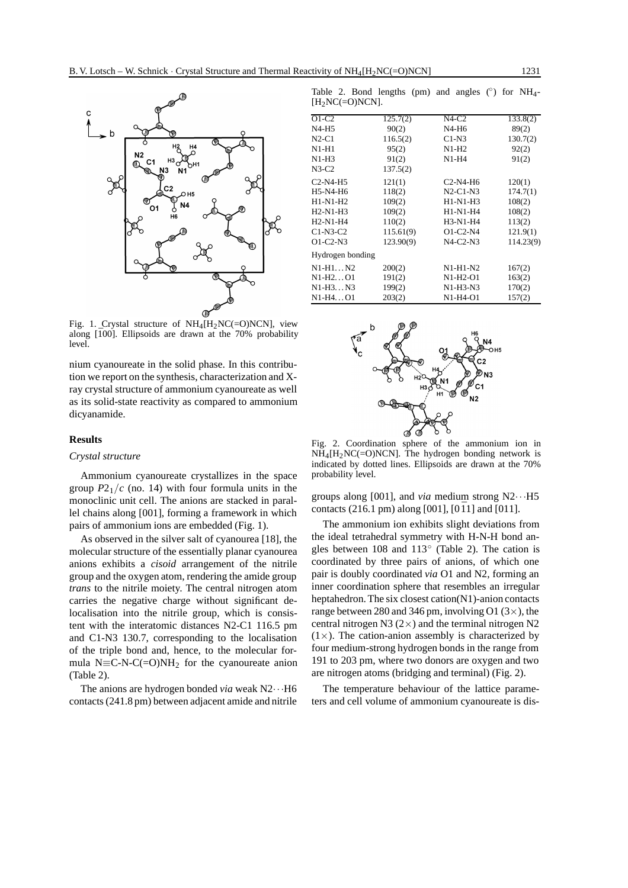

Fig. 1. Crystal structure of  $NH_4[H_2NC(=O)NCN]$ , view along  $[100]$ . Ellipsoids are drawn at the 70% probability level.

nium cyanoureate in the solid phase. In this contribution we report on the synthesis, characterization and Xray crystal structure of ammonium cyanoureate as well as its solid-state reactivity as compared to ammonium dicyanamide.

#### **Results**

### *Crystal structure*

Ammonium cyanoureate crystallizes in the space group  $P2_1/c$  (no. 14) with four formula units in the monoclinic unit cell. The anions are stacked in parallel chains along [001], forming a framework in which pairs of ammonium ions are embedded (Fig. 1).

As observed in the silver salt of cyanourea [18], the molecular structure of the essentially planar cyanourea anions exhibits a *cisoid* arrangement of the nitrile group and the oxygen atom, rendering the amide group *trans* to the nitrile moiety. The central nitrogen atom carries the negative charge without significant delocalisation into the nitrile group, which is consistent with the interatomic distances N2-C1 116.5 pm and C1-N3 130.7, corresponding to the localisation of the triple bond and, hence, to the molecular formula N $\equiv$ C-N-C(=O)NH<sub>2</sub> for the cyanoureate anion (Table 2).

The anions are hydrogen bonded *via* weak N2···H6 contacts (241.8 pm) between adjacent amide and nitrile

Table 2. Bond lengths (pm) and angles  $(\circ)$  for NH<sub>4</sub>- $[H<sub>2</sub>NC(=O)NCN].$ 

| 125.7(2)         | $N4-C2$    | 133.8(2)  |
|------------------|------------|-----------|
| 90(2)            | N4-H6      | 89(2)     |
| 116.5(2)         | $C1-N3$    | 130.7(2)  |
| 95(2)            | $N1-H2$    | 92(2)     |
| 91(2)            | $N1-H4$    | 91(2)     |
| 137.5(2)         |            |           |
| 121(1)           | $C2-N4-H6$ | 120(1)    |
| 118(2)           | $N2-C1-N3$ | 174.7(1)  |
| 109(2)           | $H1-N1-H3$ | 108(2)    |
| 109(2)           | H1-N1-H4   | 108(2)    |
| 110(2)           | H3-N1-H4   | 113(2)    |
| 115.61(9)        | $O1-C2-N4$ | 121.9(1)  |
| 123.90(9)        | $N4-C2-N3$ | 114.23(9) |
| Hydrogen bonding |            |           |
| 200(2)           | $N1-H1-N2$ | 167(2)    |
| 191(2)           | N1-H2-O1   | 163(2)    |
| 199(2)           | $N1-H3-N3$ | 170(2)    |
| 203(2)           | N1-H4-O1   | 157(2)    |
|                  |            |           |



Fig. 2. Coordination sphere of the ammonium ion in  $NH_4[H_2NC(=O)NCN]$ . The hydrogen bonding network is indicated by dotted lines. Ellipsoids are drawn at the 70% probability level.

groups along [001], and *via* medium strong  $N2 \cdots H5$ contacts (216.1 pm) along [001], [0 $\bar{1}$ 1] and [011].

The ammonium ion exhibits slight deviations from the ideal tetrahedral symmetry with H-N-H bond angles between 108 and 113◦ (Table 2). The cation is coordinated by three pairs of anions, of which one pair is doubly coordinated *via* O1 and N2, forming an inner coordination sphere that resembles an irregular heptahedron. The six closest cation(N1)-anion contacts range between 280 and 346 pm, involving O1  $(3\times)$ , the central nitrogen N3  $(2\times)$  and the terminal nitrogen N2  $(1\times)$ . The cation-anion assembly is characterized by four medium-strong hydrogen bonds in the range from 191 to 203 pm, where two donors are oxygen and two are nitrogen atoms (bridging and terminal) (Fig. 2).

The temperature behaviour of the lattice parameters and cell volume of ammonium cyanoureate is dis-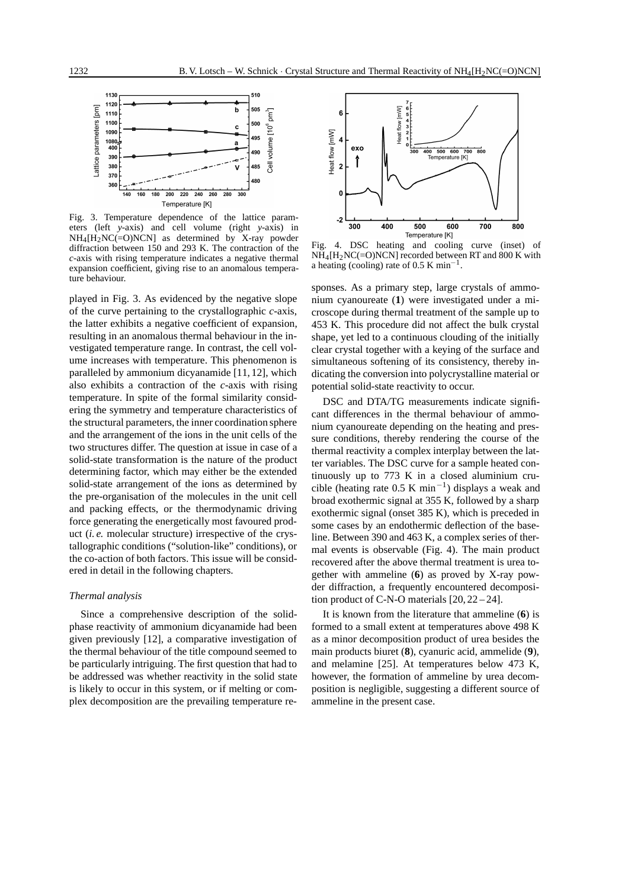

Fig. 3. Temperature dependence of the lattice parameters (left *y*-axis) and cell volume (right *y*-axis) in NH4[H2NC(=O)NCN] as determined by X-ray powder diffraction between 150 and 293 K. The contraction of the *c*-axis with rising temperature indicates a negative thermal expansion coefficient, giving rise to an anomalous temperature behaviour.

played in Fig. 3. As evidenced by the negative slope of the curve pertaining to the crystallographic *c*-axis, the latter exhibits a negative coefficient of expansion, resulting in an anomalous thermal behaviour in the investigated temperature range. In contrast, the cell volume increases with temperature. This phenomenon is paralleled by ammonium dicyanamide [11, 12], which also exhibits a contraction of the *c*-axis with rising temperature. In spite of the formal similarity considering the symmetry and temperature characteristics of the structural parameters, the inner coordination sphere and the arrangement of the ions in the unit cells of the two structures differ. The question at issue in case of a solid-state transformation is the nature of the product determining factor, which may either be the extended solid-state arrangement of the ions as determined by the pre-organisation of the molecules in the unit cell and packing effects, or the thermodynamic driving force generating the energetically most favoured product (*i. e.* molecular structure) irrespective of the crystallographic conditions ("solution-like" conditions), or the co-action of both factors. This issue will be considered in detail in the following chapters.

#### *Thermal analysis*

Since a comprehensive description of the solidphase reactivity of ammonium dicyanamide had been given previously [12], a comparative investigation of the thermal behaviour of the title compound seemed to be particularly intriguing. The first question that had to be addressed was whether reactivity in the solid state is likely to occur in this system, or if melting or complex decomposition are the prevailing temperature re-



Fig. 4. DSC heating and cooling curve (inset) of  $NH_4[H_2NC(=O)NCN]$  recorded between RT and 800 K with a heating (cooling) rate of 0.5 K min−1.

sponses. As a primary step, large crystals of ammonium cyanoureate (**1**) were investigated under a microscope during thermal treatment of the sample up to 453 K. This procedure did not affect the bulk crystal shape, yet led to a continuous clouding of the initially clear crystal together with a keying of the surface and simultaneous softening of its consistency, thereby indicating the conversion into polycrystalline material or potential solid-state reactivity to occur.

DSC and DTA/TG measurements indicate significant differences in the thermal behaviour of ammonium cyanoureate depending on the heating and pressure conditions, thereby rendering the course of the thermal reactivity a complex interplay between the latter variables. The DSC curve for a sample heated continuously up to 773 K in a closed aluminium crucible (heating rate 0.5 K min<sup>-1</sup>) displays a weak and broad exothermic signal at 355 K, followed by a sharp exothermic signal (onset 385 K), which is preceded in some cases by an endothermic deflection of the baseline. Between 390 and 463 K, a complex series of thermal events is observable (Fig. 4). The main product recovered after the above thermal treatment is urea together with ammeline (**6**) as proved by X-ray powder diffraction, a frequently encountered decomposition product of C-N-O materials [20, 22 – 24].

It is known from the literature that ammeline (**6**) is formed to a small extent at temperatures above 498 K as a minor decomposition product of urea besides the main products biuret (**8**), cyanuric acid, ammelide (**9**), and melamine [25]. At temperatures below 473 K, however, the formation of ammeline by urea decomposition is negligible, suggesting a different source of ammeline in the present case.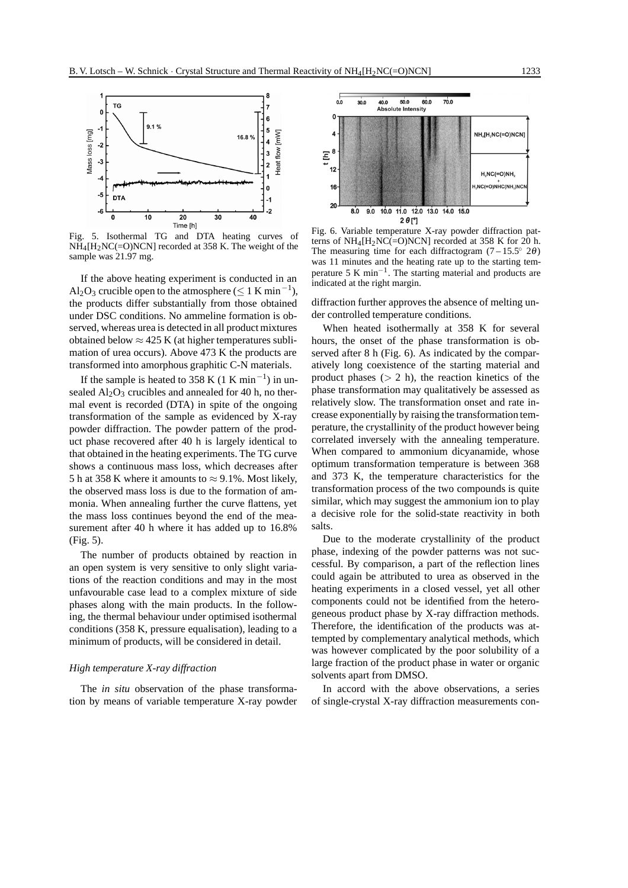

5. Isothermal TG and DTA heating curves of  $NH_4[H_2NC(=O)NCN]$  recorded at 358 K. The weight of the sample was 21.97 mg.

If the above heating experiment is conducted in an Al<sub>2</sub>O<sub>3</sub> crucible open to the atmosphere ( $\leq 1$  K min<sup>-1</sup>), the products differ substantially from those obtained under DSC conditions. No ammeline formation is observed, whereas urea is detected in all product mixtures obtained below  $\approx$  425 K (at higher temperatures sublimation of urea occurs). Above 473 K the products are transformed into amorphous graphitic C-N materials.

If the sample is heated to 358 K (1 K min<sup>-1</sup>) in unsealed  $Al_2O_3$  crucibles and annealed for 40 h, no thermal event is recorded (DTA) in spite of the ongoing transformation of the sample as evidenced by X-ray powder diffraction. The powder pattern of the product phase recovered after 40 h is largely identical to that obtained in the heating experiments. The TG curve shows a continuous mass loss, which decreases after 5 h at 358 K where it amounts to  $\approx$  9.1%. Most likely, the observed mass loss is due to the formation of ammonia. When annealing further the curve flattens, yet the mass loss continues beyond the end of the measurement after 40 h where it has added up to 16.8% (Fig. 5).

The number of products obtained by reaction in an open system is very sensitive to only slight variations of the reaction conditions and may in the most unfavourable case lead to a complex mixture of side phases along with the main products. In the following, the thermal behaviour under optimised isothermal conditions (358 K, pressure equalisation), leading to a minimum of products, will be considered in detail.

#### *High temperature X-ray diffraction*

The *in situ* observation of the phase transformation by means of variable temperature X-ray powder



Fig. 6. Variable temperature X-ray powder diffraction patterns of  $NH_4[H_2NC(=O)NCN]$  recorded at 358 K for 20 h. The measuring time for each diffractogram  $(7 - 15.5° 2\theta)$ was 11 minutes and the heating rate up to the starting temperature 5 K min<sup>-1</sup>. The starting material and products are indicated at the right margin.

diffraction further approves the absence of melting under controlled temperature conditions.

When heated isothermally at 358 K for several hours, the onset of the phase transformation is observed after 8 h (Fig. 6). As indicated by the comparatively long coexistence of the starting material and product phases  $(2 h)$ , the reaction kinetics of the phase transformation may qualitatively be assessed as relatively slow. The transformation onset and rate increase exponentially by raising the transformation temperature, the crystallinity of the product however being correlated inversely with the annealing temperature. When compared to ammonium dicyanamide, whose optimum transformation temperature is between 368 and 373 K, the temperature characteristics for the transformation process of the two compounds is quite similar, which may suggest the ammonium ion to play a decisive role for the solid-state reactivity in both salts.

Due to the moderate crystallinity of the product phase, indexing of the powder patterns was not successful. By comparison, a part of the reflection lines could again be attributed to urea as observed in the heating experiments in a closed vessel, yet all other components could not be identified from the heterogeneous product phase by X-ray diffraction methods. Therefore, the identification of the products was attempted by complementary analytical methods, which was however complicated by the poor solubility of a large fraction of the product phase in water or organic solvents apart from DMSO.

In accord with the above observations, a series of single-crystal X-ray diffraction measurements con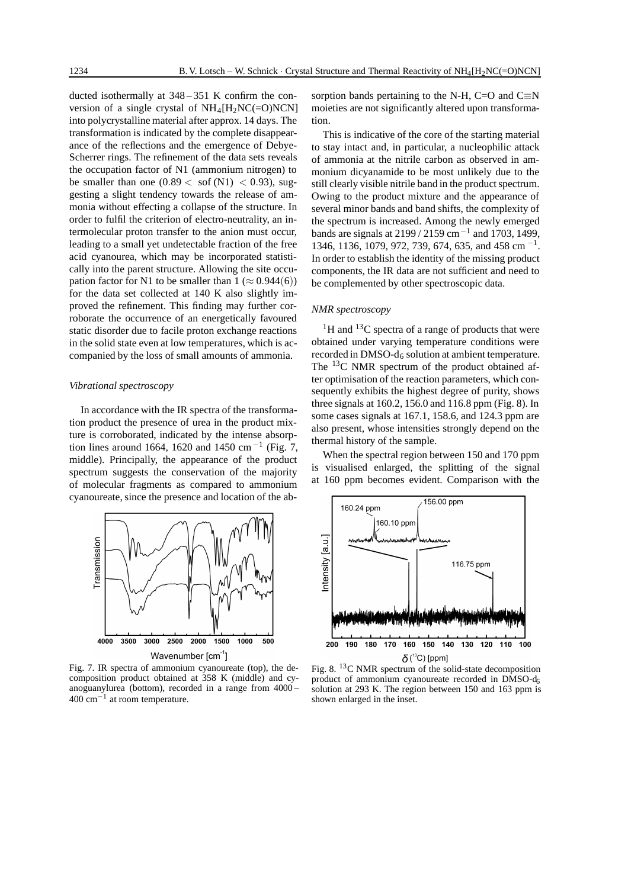ducted isothermally at 348 – 351 K confirm the conversion of a single crystal of  $NH_4[H_2NC(=O)NCN]$ into polycrystalline material after approx. 14 days. The transformation is indicated by the complete disappearance of the reflections and the emergence of Debye-Scherrer rings. The refinement of the data sets reveals the occupation factor of N1 (ammonium nitrogen) to be smaller than one  $(0.89 < \text{soft (N1)} < 0.93)$ , suggesting a slight tendency towards the release of ammonia without effecting a collapse of the structure. In order to fulfil the criterion of electro-neutrality, an intermolecular proton transfer to the anion must occur, leading to a small yet undetectable fraction of the free acid cyanourea, which may be incorporated statistically into the parent structure. Allowing the site occupation factor for N1 to be smaller than  $1 \approx 0.944(6)$ ) for the data set collected at 140 K also slightly improved the refinement. This finding may further corroborate the occurrence of an energetically favoured static disorder due to facile proton exchange reactions in the solid state even at low temperatures, which is accompanied by the loss of small amounts of ammonia.

## *Vibrational spectroscopy*

In accordance with the IR spectra of the transformation product the presence of urea in the product mixture is corroborated, indicated by the intense absorption lines around 1664, 1620 and 1450 cm<sup>-1</sup> (Fig. 7, middle). Principally, the appearance of the product spectrum suggests the conservation of the majority of molecular fragments as compared to ammonium cyanoureate, since the presence and location of the ab-



Fig. 7. IR spectra of ammonium cyanoureate (top), the decomposition product obtained at 358 K (middle) and cyanoguanylurea (bottom), recorded in a range from 4000 – 400 cm−<sup>1</sup> at room temperature.

sorption bands pertaining to the N-H, C=O and C $\equiv$ N moieties are not significantly altered upon transformation.

This is indicative of the core of the starting material to stay intact and, in particular, a nucleophilic attack of ammonia at the nitrile carbon as observed in ammonium dicyanamide to be most unlikely due to the still clearly visible nitrile band in the product spectrum. Owing to the product mixture and the appearance of several minor bands and band shifts, the complexity of the spectrum is increased. Among the newly emerged bands are signals at 2199 / 2159 cm<sup>-1</sup> and 1703, 1499, 1346, 1136, 1079, 972, 739, 674, 635, and 458 cm<sup>-1</sup>. In order to establish the identity of the missing product components, the IR data are not sufficient and need to be complemented by other spectroscopic data.

## *NMR spectroscopy*

 $1$ <sup>1</sup>H and  $13$ C spectra of a range of products that were obtained under varying temperature conditions were recorded in  $DMSO-d<sub>6</sub>$  solution at ambient temperature. The <sup>13</sup>C NMR spectrum of the product obtained after optimisation of the reaction parameters, which consequently exhibits the highest degree of purity, shows three signals at 160.2, 156.0 and 116.8 ppm (Fig. 8). In some cases signals at 167.1, 158.6, and 124.3 ppm are also present, whose intensities strongly depend on the thermal history of the sample.

When the spectral region between 150 and 170 ppm is visualised enlarged, the splitting of the signal at 160 ppm becomes evident. Comparison with the



product of ammonium cyanoureate recorded in DMSO-d6 solution at 293 K. The region between 150 and 163 ppm is shown enlarged in the inset.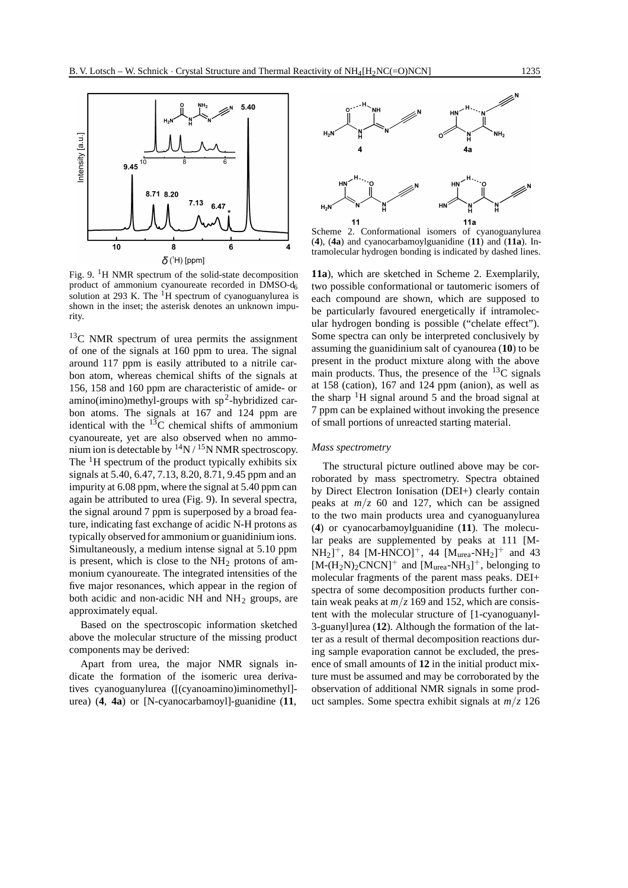

Fig. 9. 1H NMR spectrum of the solid-state decomposition product of ammonium cyanoureate recorded in DMSO-d<sub>6</sub> solution at 293 K. The  ${}^{1}H$  spectrum of cyanoguanylurea is shown in the inset; the asterisk denotes an unknown impurity.

 $13<sup>C</sup>$  NMR spectrum of urea permits the assignment of one of the signals at 160 ppm to urea. The signal around 117 ppm is easily attributed to a nitrile carbon atom, whereas chemical shifts of the signals at 156, 158 and 160 ppm are characteristic of amide- or amino(imino)methyl-groups with  $sp^2$ -hybridized carbon atoms. The signals at 167 and 124 ppm are identical with the  $^{13}$ C chemical shifts of ammonium cyanoureate, yet are also observed when no ammonium ion is detectable by  $14N / 15N NMR$  spectroscopy. The  $\rm{^1H}$  spectrum of the product typically exhibits six signals at 5.40, 6.47, 7.13, 8.20, 8.71, 9.45 ppm and an impurity at 6.08 ppm, where the signal at 5.40 ppm can again be attributed to urea (Fig. 9). In several spectra, the signal around 7 ppm is superposed by a broad feature, indicating fast exchange of acidic N-H protons as typically observed for ammonium or guanidinium ions. Simultaneously, a medium intense signal at 5.10 ppm is present, which is close to the  $NH<sub>2</sub>$  protons of ammonium cyanoureate. The integrated intensities of the five major resonances, which appear in the region of both acidic and non-acidic NH and  $NH<sub>2</sub>$  groups, are approximately equal.

Based on the spectroscopic information sketched above the molecular structure of the missing product components may be derived:

Apart from urea, the major NMR signals indicate the formation of the isomeric urea derivatives cyanoguanylurea ([(cyanoamino)iminomethyl] urea) (**4**, **4a**) or [N-cyanocarbamoyl]-guanidine (**11**,



Scheme 2. Conformational isomers of cyanoguanylurea (**4**), (**4a**) and cyanocarbamoylguanidine (**11**) and (**11a**). Intramolecular hydrogen bonding is indicated by dashed lines.

**11a**), which are sketched in Scheme 2. Exemplarily, two possible conformational or tautomeric isomers of each compound are shown, which are supposed to be particularly favoured energetically if intramolecular hydrogen bonding is possible ("chelate effect"). Some spectra can only be interpreted conclusively by assuming the guanidinium salt of cyanourea (**10**) to be present in the product mixture along with the above main products. Thus, the presence of the  $^{13}$ C signals at 158 (cation), 167 and 124 ppm (anion), as well as the sharp  ${}^{1}H$  signal around 5 and the broad signal at 7 ppm can be explained without invoking the presence of small portions of unreacted starting material.

## *Mass spectrometry*

The structural picture outlined above may be corroborated by mass spectrometry. Spectra obtained by Direct Electron Ionisation (DEI+) clearly contain peaks at  $m/z$  60 and 127, which can be assigned to the two main products urea and cyanoguanylurea (**4**) or cyanocarbamoylguanidine (**11**). The molecular peaks are supplemented by peaks at 111 [M- $NH_2]^+$ , 84 [M-HNCO]<sup>+</sup>, 44 [M<sub>urea</sub>-NH<sub>2</sub>]<sup>+</sup> and 43  $[M-(H_2N)_2CNCN]^+$  and  $[M_{\text{urea}}-NH_3]^+$ , belonging to molecular fragments of the parent mass peaks. DEI+ spectra of some decomposition products further contain weak peaks at  $m/z$  169 and 152, which are consistent with the molecular structure of [1-cyanoguanyl-3-guanyl]urea (**12**). Although the formation of the latter as a result of thermal decomposition reactions during sample evaporation cannot be excluded, the presence of small amounts of **12** in the initial product mixture must be assumed and may be corroborated by the observation of additional NMR signals in some product samples. Some spectra exhibit signals at *m/z* 126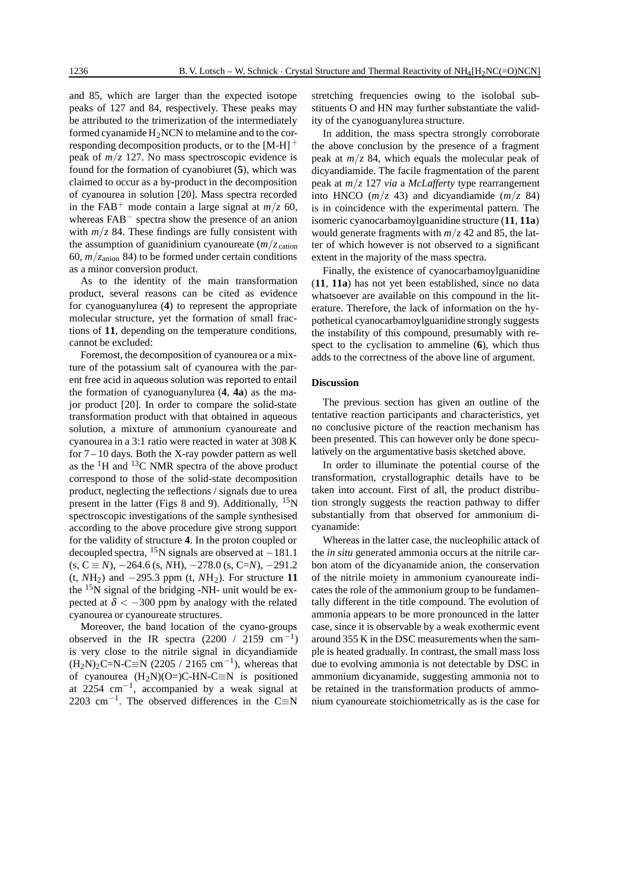and 85, which are larger than the expected isotope peaks of 127 and 84, respectively. These peaks may be attributed to the trimerization of the intermediately formed cyanamide  $H_2NCN$  to melamine and to the corresponding decomposition products, or to the  $[M-H]$ <sup>+</sup> peak of  $m/z$  127. No mass spectroscopic evidence is found for the formation of cyanobiuret (**5**), which was claimed to occur as a by-product in the decomposition of cyanourea in solution [20]. Mass spectra recorded in the FAB<sup>+</sup> mode contain a large signal at  $m/z$  60, whereas FAB− spectra show the presence of an anion with  $m/z$  84. These findings are fully consistent with the assumption of guanidinium cyanoureate  $(m/z_{\text{cation}})$ 60,  $m/z_{\text{anion}}$  84) to be formed under certain conditions as a minor conversion product.

As to the identity of the main transformation product, several reasons can be cited as evidence for cyanoguanylurea (**4**) to represent the appropriate molecular structure, yet the formation of small fractions of **11**, depending on the temperature conditions, cannot be excluded:

Foremost, the decomposition of cyanourea or a mixture of the potassium salt of cyanourea with the parent free acid in aqueous solution was reported to entail the formation of cyanoguanylurea (**4**, **4a**) as the major product [20]. In order to compare the solid-state transformation product with that obtained in aqueous solution, a mixture of ammonium cyanoureate and cyanourea in a 3:1 ratio were reacted in water at 308 K for 7 – 10 days. Both the X-ray powder pattern as well as the  ${}^{1}$ H and  ${}^{13}$ C NMR spectra of the above product correspond to those of the solid-state decomposition product, neglecting the reflections / signals due to urea present in the latter (Figs 8 and 9). Additionally,  $^{15}N$ spectroscopic investigations of the sample synthesised according to the above procedure give strong support for the validity of structure **4**. In the proton coupled or decoupled spectra, <sup>15</sup>N signals are observed at  $-181.1$  $(s, C \equiv N)$ ,  $-264.6$  (s, *N*H),  $-278.0$  (s,  $C=N$ ),  $-291.2$ (t,  $NH_2$ ) and  $-295.3$  ppm (t,  $NH_2$ ). For structure 11 the  $15N$  signal of the bridging -NH- unit would be expected at  $\delta$  < -300 ppm by analogy with the related cyanourea or cyanoureate structures.

Moreover, the band location of the cyano-groups observed in the IR spectra (2200 / 2159 cm<sup>-1</sup>) is very close to the nitrile signal in dicyandiamide  $(H_2N)_2C=N-C\equiv N (2205 / 2165 cm^{-1})$ , whereas that of cyanourea  $(H_2N)(O=)C-HN-C\equiv N$  is positioned at 2254 cm<sup>-1</sup>, accompanied by a weak signal at 2203 cm<sup>-1</sup>. The observed differences in the C≡N

stretching frequencies owing to the isolobal substituents O and HN may further substantiate the validity of the cyanoguanylurea structure.

In addition, the mass spectra strongly corroborate the above conclusion by the presence of a fragment peak at  $m/z$  84, which equals the molecular peak of dicyandiamide. The facile fragmentation of the parent peak at *m/z* 127 *via* a *McLafferty* type rearrangement into HNCO  $(m/z$  43) and dicyandiamide  $(m/z)$  84) is in coincidence with the experimental pattern. The isomeric cyanocarbamoylguanidine structure (**11**, **11a**) would generate fragments with  $m/z$  42 and 85, the latter of which however is not observed to a significant extent in the majority of the mass spectra.

Finally, the existence of cyanocarbamoylguanidine (**11**, **11a**) has not yet been established, since no data whatsoever are available on this compound in the literature. Therefore, the lack of information on the hypothetical cyanocarbamoylguanidine strongly suggests the instability of this compound, presumably with respect to the cyclisation to ammeline (**6**), which thus adds to the correctness of the above line of argument.

## **Discussion**

The previous section has given an outline of the tentative reaction participants and characteristics, yet no conclusive picture of the reaction mechanism has been presented. This can however only be done speculatively on the argumentative basis sketched above.

In order to illuminate the potential course of the transformation, crystallographic details have to be taken into account. First of all, the product distribution strongly suggests the reaction pathway to differ substantially from that observed for ammonium dicyanamide:

Whereas in the latter case, the nucleophilic attack of the *in situ* generated ammonia occurs at the nitrile carbon atom of the dicyanamide anion, the conservation of the nitrile moiety in ammonium cyanoureate indicates the role of the ammonium group to be fundamentally different in the title compound. The evolution of ammonia appears to be more pronounced in the latter case, since it is observable by a weak exothermic event around 355 K in the DSC measurements when the sample is heated gradually. In contrast, the small mass loss due to evolving ammonia is not detectable by DSC in ammonium dicyanamide, suggesting ammonia not to be retained in the transformation products of ammonium cyanoureate stoichiometrically as is the case for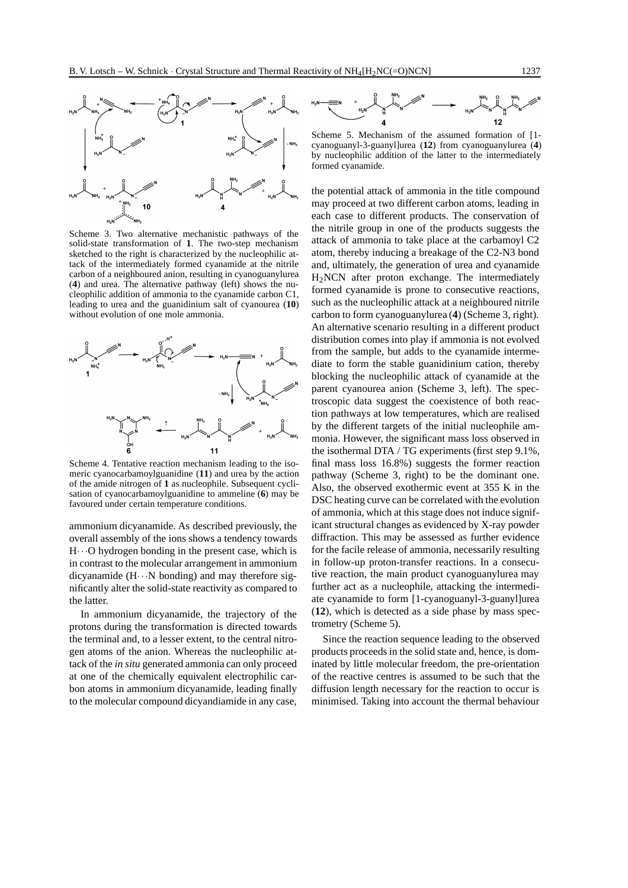

Scheme 3. Two alternative mechanistic pathways of the solid-state transformation of **1**. The two-step mechanism sketched to the right is characterized by the nucleophilic attack of the intermediately formed cyanamide at the nitrile carbon of a neighboured anion, resulting in cyanoguanylurea (**4**) and urea. The alternative pathway (left) shows the nucleophilic addition of ammonia to the cyanamide carbon C1, leading to urea and the guanidinium salt of cyanourea (**10**) without evolution of one mole ammonia.



Scheme 4. Tentative reaction mechanism leading to the isomeric cyanocarbamoylguanidine (**11**) and urea by the action of the amide nitrogen of **1** as nucleophile. Subsequent cyclisation of cyanocarbamoylguanidine to ammeline (**6**) may be favoured under certain temperature conditions.

ammonium dicyanamide. As described previously, the overall assembly of the ions shows a tendency towards  $H \cdot \cdot \cdot O$  hydrogen bonding in the present case, which is in contrast to the molecular arrangement in ammonium dicyanamide  $(H \cdots N$  bonding) and may therefore significantly alter the solid-state reactivity as compared to the latter.

In ammonium dicyanamide, the trajectory of the protons during the transformation is directed towards the terminal and, to a lesser extent, to the central nitrogen atoms of the anion. Whereas the nucleophilic attack of the *in situ* generated ammonia can only proceed at one of the chemically equivalent electrophilic carbon atoms in ammonium dicyanamide, leading finally to the molecular compound dicyandiamide in any case,



Scheme 5. Mechanism of the assumed formation of [1 cyanoguanyl-3-guanyl]urea (**12**) from cyanoguanylurea (**4**) by nucleophilic addition of the latter to the intermediately formed cyanamide.

the potential attack of ammonia in the title compound may proceed at two different carbon atoms, leading in each case to different products. The conservation of the nitrile group in one of the products suggests the attack of ammonia to take place at the carbamoyl C2 atom, thereby inducing a breakage of the C2-N3 bond and, ultimately, the generation of urea and cyanamide H2NCN after proton exchange. The intermediately formed cyanamide is prone to consecutive reactions, such as the nucleophilic attack at a neighboured nitrile carbon to form cyanoguanylurea (**4**) (Scheme 3, right). An alternative scenario resulting in a different product distribution comes into play if ammonia is not evolved from the sample, but adds to the cyanamide intermediate to form the stable guanidinium cation, thereby blocking the nucleophilic attack of cyanamide at the parent cyanourea anion (Scheme 3, left). The spectroscopic data suggest the coexistence of both reaction pathways at low temperatures, which are realised by the different targets of the initial nucleophile ammonia. However, the significant mass loss observed in the isothermal DTA / TG experiments (first step 9.1%, final mass loss 16.8%) suggests the former reaction pathway (Scheme 3, right) to be the dominant one. Also, the observed exothermic event at 355 K in the DSC heating curve can be correlated with the evolution of ammonia, which at this stage does not induce significant structural changes as evidenced by X-ray powder diffraction. This may be assessed as further evidence for the facile release of ammonia, necessarily resulting in follow-up proton-transfer reactions. In a consecutive reaction, the main product cyanoguanylurea may further act as a nucleophile, attacking the intermediate cyanamide to form [1-cyanoguanyl-3-guanyl]urea (**12**), which is detected as a side phase by mass spectrometry (Scheme 5).

Since the reaction sequence leading to the observed products proceeds in the solid state and, hence, is dominated by little molecular freedom, the pre-orientation of the reactive centres is assumed to be such that the diffusion length necessary for the reaction to occur is minimised. Taking into account the thermal behaviour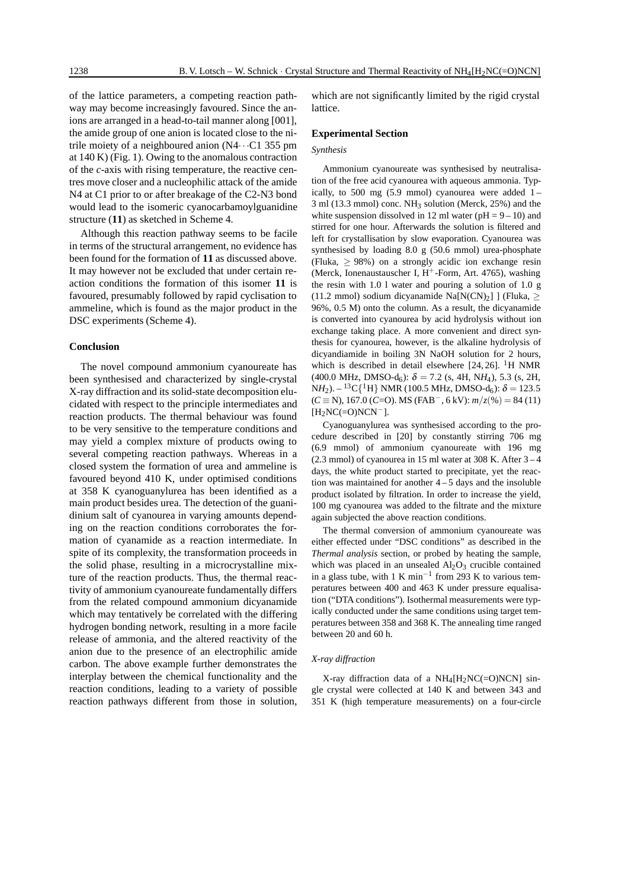of the lattice parameters, a competing reaction pathway may become increasingly favoured. Since the anions are arranged in a head-to-tail manner along [001], the amide group of one anion is located close to the nitrile moiety of a neighboured anion  $(N4 \cdots C1)$  355 pm at 140 K) (Fig. 1). Owing to the anomalous contraction of the *c*-axis with rising temperature, the reactive centres move closer and a nucleophilic attack of the amide N4 at C1 prior to or after breakage of the C2-N3 bond would lead to the isomeric cyanocarbamoylguanidine structure (**11**) as sketched in Scheme 4.

Although this reaction pathway seems to be facile in terms of the structural arrangement, no evidence has been found for the formation of **11** as discussed above. It may however not be excluded that under certain reaction conditions the formation of this isomer **11** is favoured, presumably followed by rapid cyclisation to ammeline, which is found as the major product in the DSC experiments (Scheme 4).

#### **Conclusion**

The novel compound ammonium cyanoureate has been synthesised and characterized by single-crystal X-ray diffraction and its solid-state decomposition elucidated with respect to the principle intermediates and reaction products. The thermal behaviour was found to be very sensitive to the temperature conditions and may yield a complex mixture of products owing to several competing reaction pathways. Whereas in a closed system the formation of urea and ammeline is favoured beyond 410 K, under optimised conditions at 358 K cyanoguanylurea has been identified as a main product besides urea. The detection of the guanidinium salt of cyanourea in varying amounts depending on the reaction conditions corroborates the formation of cyanamide as a reaction intermediate. In spite of its complexity, the transformation proceeds in the solid phase, resulting in a microcrystalline mixture of the reaction products. Thus, the thermal reactivity of ammonium cyanoureate fundamentally differs from the related compound ammonium dicyanamide which may tentatively be correlated with the differing hydrogen bonding network, resulting in a more facile release of ammonia, and the altered reactivity of the anion due to the presence of an electrophilic amide carbon. The above example further demonstrates the interplay between the chemical functionality and the reaction conditions, leading to a variety of possible reaction pathways different from those in solution,

which are not significantly limited by the rigid crystal lattice.

#### **Experimental Section**

#### *Synthesis*

Ammonium cyanoureate was synthesised by neutralisation of the free acid cyanourea with aqueous ammonia. Typically, to 500 mg (5.9 mmol) cyanourea were added  $1 3$  ml (13.3 mmol) conc. NH<sub>3</sub> solution (Merck, 25%) and the white suspension dissolved in 12 ml water ( $pH = 9 - 10$ ) and stirred for one hour. Afterwards the solution is filtered and left for crystallisation by slow evaporation. Cyanourea was synthesised by loading 8.0 g (50.6 mmol) urea-phosphate (Fluka,  $\geq$  98%) on a strongly acidic ion exchange resin (Merck, Ionenaustauscher I,  $H^+$ -Form, Art. 4765), washing the resin with 1.0 l water and pouring a solution of 1.0 g (11.2 mmol) sodium dicyanamide Na $[N(CN)_2]$  | (Fluka,  $>$ 96%, 0.5 M) onto the column. As a result, the dicyanamide is converted into cyanourea by acid hydrolysis without ion exchange taking place. A more convenient and direct synthesis for cyanourea, however, is the alkaline hydrolysis of dicyandiamide in boiling 3N NaOH solution for 2 hours, which is described in detail elsewhere  $[24, 26]$ . <sup>1</sup>H NMR  $(400.0 \text{ MHz}, \text{ DMSO-d}_6): \delta = 7.2 \text{ (s, 4H, NH}_4), 5.3 \text{ (s, 2H, 1)}$  $NH_2$ ). – <sup>13</sup>C{<sup>1</sup>H} NMR (100.5 MHz, DMSO-d<sub>6</sub>):  $\delta = 123.5$  $(C \equiv N)$ , 167.0  $(C = 0)$ . MS  $(FAB^{-}, 6 \text{ kV})$ :  $m/z(\%) = 84(11)$  $[H<sub>2</sub>NC(=O)NCN<sup>-</sup>].$ 

Cyanoguanylurea was synthesised according to the procedure described in [20] by constantly stirring 706 mg (6.9 mmol) of ammonium cyanoureate with 196 mg  $(2.3 \text{ mmol})$  of cyanourea in 15 ml water at 308 K. After  $3-4$ days, the white product started to precipitate, yet the reaction was maintained for another  $4-5$  days and the insoluble product isolated by filtration. In order to increase the yield, 100 mg cyanourea was added to the filtrate and the mixture again subjected the above reaction conditions.

The thermal conversion of ammonium cyanoureate was either effected under "DSC conditions" as described in the *Thermal analysis* section, or probed by heating the sample, which was placed in an unsealed  $Al_2O_3$  crucible contained in a glass tube, with 1 K min<sup>-1</sup> from 293 K to various temperatures between 400 and 463 K under pressure equalisation ("DTA conditions"). Isothermal measurements were typically conducted under the same conditions using target temperatures between 358 and 368 K. The annealing time ranged between 20 and 60 h.

#### *X-ray diffraction*

X-ray diffraction data of a  $NH_4[H_2NC(=O)NCN]$  single crystal were collected at 140 K and between 343 and 351 K (high temperature measurements) on a four-circle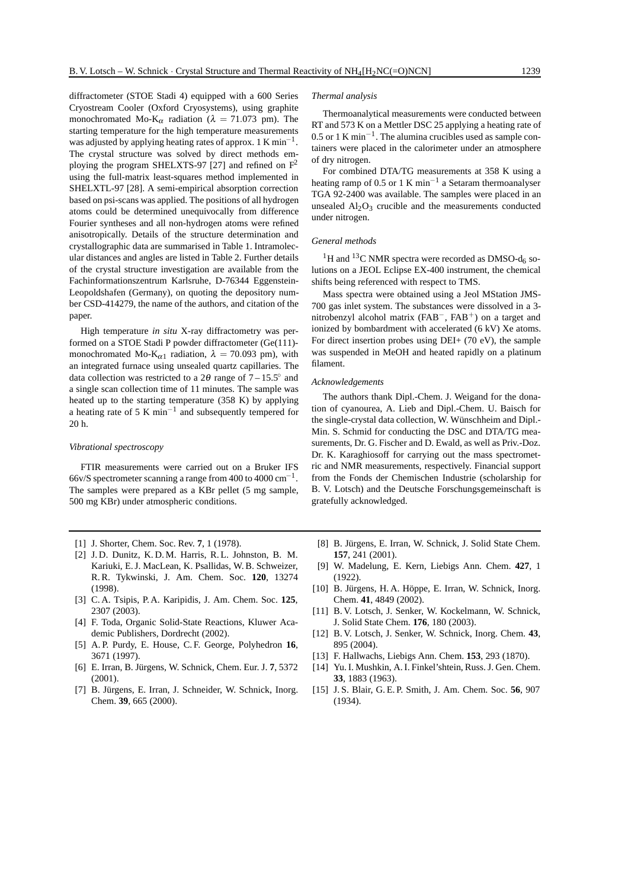diffractometer (STOE Stadi 4) equipped with a 600 Series Cryostream Cooler (Oxford Cryosystems), using graphite monochromated Mo-K<sub>α</sub> radiation ( $\lambda = 71.073$  pm). The starting temperature for the high temperature measurements was adjusted by applying heating rates of approx.  $1 \text{ K min}^{-1}$ . The crystal structure was solved by direct methods employing the program SHELXTS-97 [27] and refined on  $F^2$ using the full-matrix least-squares method implemented in SHELXTL-97 [28]. A semi-empirical absorption correction based on psi-scans was applied. The positions of all hydrogen atoms could be determined unequivocally from difference Fourier syntheses and all non-hydrogen atoms were refined anisotropically. Details of the structure determination and crystallographic data are summarised in Table 1. Intramolecular distances and angles are listed in Table 2. Further details of the crystal structure investigation are available from the Fachinformationszentrum Karlsruhe, D-76344 Eggenstein-

Leopoldshafen (Germany), on quoting the depository number CSD-414279, the name of the authors, and citation of the paper. High temperature *in situ* X-ray diffractometry was per-

formed on a STOE Stadi P powder diffractometer (Ge(111) monochromated Mo-K<sub>α1</sub> radiation,  $\lambda = 70.093$  pm), with an integrated furnace using unsealed quartz capillaries. The data collection was restricted to a  $2\theta$  range of  $7 - 15.5^\circ$  and a single scan collection time of 11 minutes. The sample was heated up to the starting temperature (358 K) by applying a heating rate of 5 K min−<sup>1</sup> and subsequently tempered for 20 h.

### *Vibrational spectroscopy*

FTIR measurements were carried out on a Bruker IFS 66v/S spectrometer scanning a range from 400 to 4000 cm−1. The samples were prepared as a KBr pellet (5 mg sample, 500 mg KBr) under atmospheric conditions.

- [1] J. Shorter, Chem. Soc. Rev. **7**, 1 (1978).
- [2] J. D. Dunitz, K. D. M. Harris, R. L. Johnston, B. M. Kariuki, E. J. MacLean, K. Psallidas, W. B. Schweizer, R. R. Tykwinski, J. Am. Chem. Soc. **120**, 13274 (1998).
- [3] C. A. Tsipis, P. A. Karipidis, J. Am. Chem. Soc. **125**, 2307 (2003).
- [4] F. Toda, Organic Solid-State Reactions, Kluwer Academic Publishers, Dordrecht (2002).
- [5] A. P. Purdy, E. House, C. F. George, Polyhedron **16**, 3671 (1997).
- [6] E. Irran, B. Jürgens, W. Schnick, Chem. Eur. J. 7, 5372  $(2001)$
- [7] B. Jürgens, E. Irran, J. Schneider, W. Schnick, Inorg. Chem. **39**, 665 (2000).

#### *Thermal analysis*

Thermoanalytical measurements were conducted between RT and 573 K on a Mettler DSC 25 applying a heating rate of 0.5 or 1 K min<sup> $-1$ </sup>. The alumina crucibles used as sample containers were placed in the calorimeter under an atmosphere of dry nitrogen.

For combined DTA/TG measurements at 358 K using a heating ramp of 0.5 or 1 K min<sup>-1</sup> a Setaram thermoanalyser TGA 92-2400 was available. The samples were placed in an unsealed  $Al<sub>2</sub>O<sub>3</sub>$  crucible and the measurements conducted under nitrogen.

## *General methods*

 $^{1}\mathrm{H}$  and  $^{13}\mathrm{C}$  NMR spectra were recorded as DMSO-d<sub>6</sub> solutions on a JEOL Eclipse EX-400 instrument, the chemical shifts being referenced with respect to TMS.

Mass spectra were obtained using a Jeol MStation JMS-700 gas inlet system. The substances were dissolved in a 3 nitrobenzyl alcohol matrix (FAB−, FAB+) on a target and ionized by bombardment with accelerated (6 kV) Xe atoms. For direct insertion probes using DEI+ (70 eV), the sample was suspended in MeOH and heated rapidly on a platinum filament.

## *Acknowledgements*

The authors thank Dipl.-Chem. J. Weigand for the donation of cyanourea, A. Lieb and Dipl.-Chem. U. Baisch for the single-crystal data collection, W. Wünschheim and Dipl.-Min. S. Schmid for conducting the DSC and DTA/TG measurements, Dr. G. Fischer and D. Ewald, as well as Priv.-Doz. Dr. K. Karaghiosoff for carrying out the mass spectrometric and NMR measurements, respectively. Financial support from the Fonds der Chemischen Industrie (scholarship for B. V. Lotsch) and the Deutsche Forschungsgemeinschaft is gratefully acknowledged.

- [8] B. Jürgens, E. Irran, W. Schnick, J. Solid State Chem. **157**, 241 (2001).
- [9] W. Madelung, E. Kern, Liebigs Ann. Chem. **427**, 1 (1922).
- [10] B. Jürgens, H. A. Höppe, E. Irran, W. Schnick, Inorg. Chem. **41**, 4849 (2002).
- [11] B. V. Lotsch, J. Senker, W. Kockelmann, W. Schnick, J. Solid State Chem. **176**, 180 (2003).
- [12] B. V. Lotsch, J. Senker, W. Schnick, Inorg. Chem. **43**, 895 (2004).
- [13] F. Hallwachs, Liebigs Ann. Chem. **153**, 293 (1870).
- [14] Yu. I. Mushkin, A. I. Finkel'shtein, Russ. J. Gen. Chem. **33**, 1883 (1963).
- [15] J. S. Blair, G. E. P. Smith, J. Am. Chem. Soc. **56**, 907 (1934).